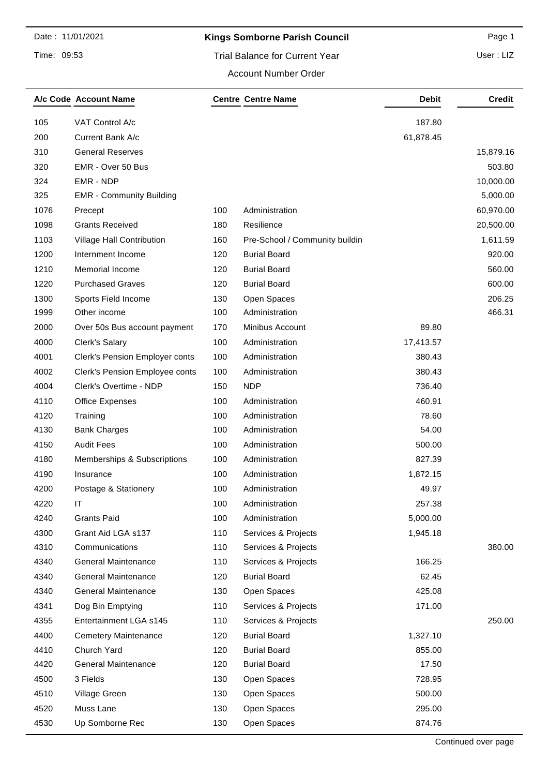### Time: 09:53

# Kings Somborne Parish Council **Analytic Page 1** Page 1

User : LIZ

#### Account Number Order

|      | A/c Code Account Name           |     | <b>Centre Centre Name</b>      | <b>Debit</b> | <b>Credit</b> |
|------|---------------------------------|-----|--------------------------------|--------------|---------------|
| 105  | VAT Control A/c                 |     |                                | 187.80       |               |
| 200  | Current Bank A/c                |     |                                | 61,878.45    |               |
| 310  | <b>General Reserves</b>         |     |                                |              | 15,879.16     |
| 320  | EMR - Over 50 Bus               |     |                                |              | 503.80        |
| 324  | EMR - NDP                       |     |                                |              | 10,000.00     |
| 325  | <b>EMR - Community Building</b> |     |                                |              | 5,000.00      |
| 1076 | Precept                         | 100 | Administration                 |              | 60,970.00     |
| 1098 | <b>Grants Received</b>          | 180 | Resilience                     |              | 20,500.00     |
| 1103 | Village Hall Contribution       | 160 | Pre-School / Community buildin |              | 1,611.59      |
| 1200 | Internment Income               | 120 | <b>Burial Board</b>            |              | 920.00        |
| 1210 | Memorial Income                 | 120 | <b>Burial Board</b>            |              | 560.00        |
| 1220 | <b>Purchased Graves</b>         | 120 | <b>Burial Board</b>            |              | 600.00        |
| 1300 | Sports Field Income             | 130 | Open Spaces                    |              | 206.25        |
| 1999 | Other income                    | 100 | Administration                 |              | 466.31        |
| 2000 | Over 50s Bus account payment    | 170 | Minibus Account                | 89.80        |               |
| 4000 | Clerk's Salary                  | 100 | Administration                 | 17,413.57    |               |
| 4001 | Clerk's Pension Employer conts  | 100 | Administration                 | 380.43       |               |
| 4002 | Clerk's Pension Employee conts  | 100 | Administration                 | 380.43       |               |
| 4004 | Clerk's Overtime - NDP          | 150 | <b>NDP</b>                     | 736.40       |               |
| 4110 | <b>Office Expenses</b>          | 100 | Administration                 | 460.91       |               |
| 4120 | Training                        | 100 | Administration                 | 78.60        |               |
| 4130 | <b>Bank Charges</b>             | 100 | Administration                 | 54.00        |               |
| 4150 | <b>Audit Fees</b>               | 100 | Administration                 | 500.00       |               |
| 4180 | Memberships & Subscriptions     | 100 | Administration                 | 827.39       |               |
| 4190 | Insurance                       | 100 | Administration                 | 1,872.15     |               |
| 4200 | Postage & Stationery            | 100 | Administration                 | 49.97        |               |
| 4220 | IT                              | 100 | Administration                 | 257.38       |               |
| 4240 | <b>Grants Paid</b>              | 100 | Administration                 | 5,000.00     |               |
| 4300 | Grant Aid LGA s137              | 110 | Services & Projects            | 1,945.18     |               |
| 4310 | Communications                  | 110 | Services & Projects            |              | 380.00        |
| 4340 | <b>General Maintenance</b>      | 110 | Services & Projects            | 166.25       |               |
| 4340 | <b>General Maintenance</b>      | 120 | <b>Burial Board</b>            | 62.45        |               |
| 4340 | <b>General Maintenance</b>      | 130 | Open Spaces                    | 425.08       |               |
| 4341 | Dog Bin Emptying                | 110 | Services & Projects            | 171.00       |               |
| 4355 | Entertainment LGA s145          | 110 | Services & Projects            |              | 250.00        |
| 4400 | <b>Cemetery Maintenance</b>     | 120 | <b>Burial Board</b>            | 1,327.10     |               |
| 4410 | Church Yard                     | 120 | <b>Burial Board</b>            | 855.00       |               |
| 4420 | <b>General Maintenance</b>      | 120 | <b>Burial Board</b>            | 17.50        |               |
| 4500 | 3 Fields                        | 130 | Open Spaces                    | 728.95       |               |
| 4510 | Village Green                   | 130 | Open Spaces                    | 500.00       |               |
| 4520 | Muss Lane                       | 130 | Open Spaces                    | 295.00       |               |
| 4530 | Up Somborne Rec                 | 130 | Open Spaces                    | 874.76       |               |